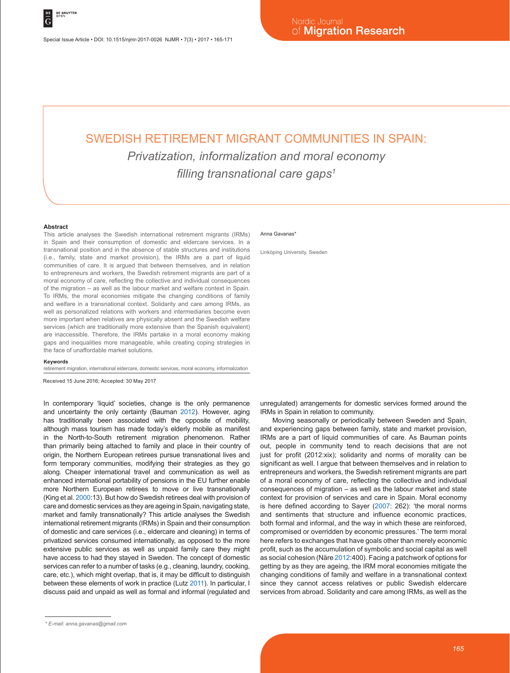# SWEDISH RETIREMENT MIGRANT COMMUNITIES IN SPAIN: *Privatization, informalization and moral economy filling transnational care gaps<sup>1</sup>*

#### **Abstract**

This article analyses the Swedish international retirement migrants (IRMs) in Spain and their consumption of domestic and eldercare services. In a transnational position and in the absence of stable structures and institutions (i.e., family, state and market provision), the IRMs are a part of liquid communities of care. It is argued that between themselves, and in relation to entrepreneurs and workers, the Swedish retirement migrants are part of a moral economy of care, reflecting the collective and individual consequences of the migration – as well as the labour market and welfare context in Spain. To IRMs, the moral economies mitigate the changing conditions of family and welfare in a transnational context. Solidarity and care among IRMs, as well as personalized relations with workers and intermediaries become even more important when relatives are physically absent and the Swedish welfare services (which are traditionally more extensive than the Spanish equivalent) are inaccessible. Therefore, the IRMs partake in a moral economy making gaps and inequalities more manageable, while creating coping strategies in the face of unaffordable market solutions.

#### **Keywords**

retirement migration, international eldercare, domestic services, moral economy, informalization

Received 15 June 2016; Accepted: 30 May 2017

In contemporary 'liquid' societies, change is the only permanence and uncertainty the only certainty (Bauman 2012). However, aging has traditionally been associated with the opposite of mobility, although mass tourism has made today's elderly mobile as manifest in the North-to-South retirement migration phenomenon. Rather than primarily being attached to family and place in their country of origin, the Northern European retirees pursue transnational lives and form temporary communities, modifying their strategies as they go along. Cheaper international travel and communication as well as enhanced international portability of pensions in the EU further enable more Northern European retirees to move or live transnationally (King et al. 2000:13). But how do Swedish retirees deal with provision of care and domestic services as they are ageing in Spain, navigating state, market and family transnationally? This article analyses the Swedish international retirement migrants (IRMs) in Spain and their consumption of domestic and care services (i.e., eldercare and cleaning) in terms of privatized services consumed internationally, as opposed to the more extensive public services as well as unpaid family care they might have access to had they stayed in Sweden. The concept of domestic services can refer to a number of tasks (e.g., cleaning, laundry, cooking, care, etc.), which might overlap, that is, it may be difficult to distinguish between these elements of work in practice (Lutz 2011). In particular, I discuss paid and unpaid as well as formal and informal (regulated and

#### Anna Gavanas<sup>\*</sup>

Linköping University, Sweden

unregulated) arrangements for domestic services formed around the IRMs in Spain in relation to community.

Moving seasonally or periodically between Sweden and Spain, and experiencing gaps between family, state and market provision, IRMs are a part of liquid communities of care. As Bauman points out, people in community tend to reach decisions that are not just for profit (2012:xix); solidarity and norms of morality can be significant as well. I argue that between themselves and in relation to entrepreneurs and workers, the Swedish retirement migrants are part of a moral economy of care, reflecting the collective and individual consequences of migration – as well as the labour market and state context for provision of services and care in Spain. Moral economy is here defined according to Sayer (2007: 262): 'the moral norms and sentiments that structure and influence economic practices, both formal and informal, and the way in which these are reinforced, compromised or overridden by economic pressures.' The term moral here refers to exchanges that have goals other than merely economic profit, such as the accumulation of symbolic and social capital as well as social cohesion (Näre 2012:400). Facing a patchwork of options for getting by as they are ageing, the IRM moral economies mitigate the changing conditions of family and welfare in a transnational context since they cannot access relatives or public Swedish eldercare services from abroad. Solidarity and care among IRMs, as well as the

*<sup>\*</sup> E-mail: anna.gavanas@gmail.com*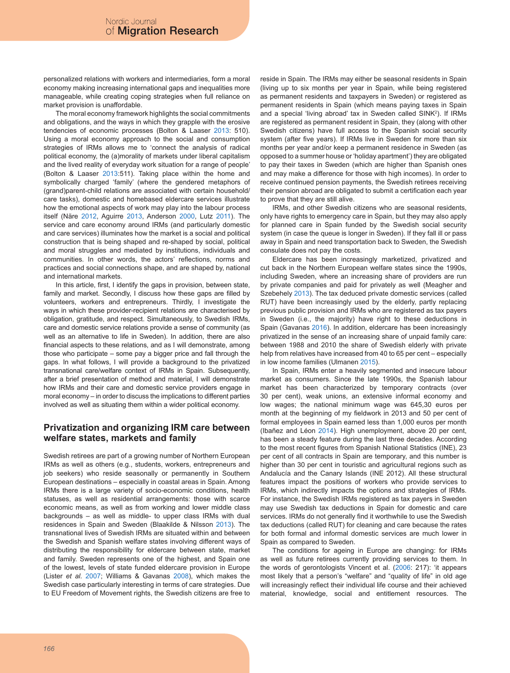personalized relations with workers and intermediaries, form a moral economy making increasing international gaps and inequalities more manageable, while creating coping strategies when full reliance on market provision is unaffordable.

The moral economy framework highlights the social commitments and obligations, and the ways in which they grapple with the erosive tendencies of economic processes (Bolton & Laaser 2013: 510). Using a moral economy approach to the social and consumption strategies of IRMs allows me to 'connect the analysis of radical political economy, the (a)morality of markets under liberal capitalism and the lived reality of everyday work situation for a range of people' (Bolton & Laaser 2013:511). Taking place within the home and symbolically charged 'family' (where the gendered metaphors of (grand)parent-child relations are associated with certain household/ care tasks), domestic and homebased eldercare services illustrate how the emotional aspects of work may play into the labour process itself (Näre 2012, Aguirre 2013, Anderson 2000, Lutz 2011). The service and care economy around IRMs (and particularly domestic and care services) illuminates how the market is a social and political construction that is being shaped and re-shaped by social, political and moral struggles and mediated by institutions, individuals and communities. In other words, the actors' reflections, norms and practices and social connections shape, and are shaped by, national and international markets.

In this article, first, I identify the gaps in provision, between state, family and market. Secondly, I discuss how these gaps are filled by volunteers, workers and entrepreneurs. Thirdly, I investigate the ways in which these provider-recipient relations are characterised by obligation, gratitude, and respect. Simultaneously, to Swedish IRMs, care and domestic service relations provide a sense of community (as well as an alternative to life in Sweden). In addition, there are also financial aspects to these relations, and as I will demonstrate, among those who participate – some pay a bigger price and fall through the gaps. In what follows, I will provide a background to the privatized transnational care/welfare context of IRMs in Spain. Subsequently, after a brief presentation of method and material, I will demonstrate how IRMs and their care and domestic service providers engage in moral economy – in order to discuss the implications to different parties involved as well as situating them within a wider political economy.

# **Privatization and organizing IRM care between welfare states, markets and family**

Swedish retirees are part of a growing number of Northern European IRMs as well as others (e.g., students, workers, entrepreneurs and job seekers) who reside seasonally or permanently in Southern European destinations – especially in coastal areas in Spain. Among IRMs there is a large variety of socio-economic conditions, health statuses, as well as residential arrangements: those with scarce economic means, as well as from working and lower middle class backgrounds – as well as middle- to upper class IRMs with dual residences in Spain and Sweden (Blaakilde & Nilsson 2013). The transnational lives of Swedish IRMs are situated within and between the Swedish and Spanish welfare states involving different ways of distributing the responsibility for eldercare between state, market and family. Sweden represents one of the highest, and Spain one of the lowest, levels of state funded eldercare provision in Europe (Lister *et al.* 2007; Williams & Gavanas 2008), which makes the Swedish case particularly interesting in terms of care strategies. Due to EU Freedom of Movement rights, the Swedish citizens are free to

reside in Spain. The IRMs may either be seasonal residents in Spain (living up to six months per year in Spain, while being registered as permanent residents and taxpayers in Sweden) or registered as permanent residents in Spain (which means paying taxes in Spain and a special 'living abroad' tax in Sweden called SINK2 ). If IRMs are registered as permanent resident in Spain, they (along with other Swedish citizens) have full access to the Spanish social security system (after five years). If IRMs live in Sweden for more than six months per year and/or keep a permanent residence in Sweden (as opposed to a summer house or 'holiday apartment') they are obligated to pay their taxes in Sweden (which are higher than Spanish ones and may make a difference for those with high incomes). In order to receive continued pension payments, the Swedish retirees receiving their pension abroad are obligated to submit a certification each year to prove that they are still alive.

IRMs, and other Swedish citizens who are seasonal residents, only have rights to emergency care in Spain, but they may also apply for planned care in Spain funded by the Swedish social security system (in case the queue is longer in Sweden). If they fall ill or pass away in Spain and need transportation back to Sweden, the Swedish consulate does not pay the costs.

Eldercare has been increasingly marketized, privatized and cut back in the Northern European welfare states since the 1990s, including Sweden, where an increasing share of providers are run by private companies and paid for privately as well (Meagher and Szebehely 2013). The tax deduced private domestic services (called RUT) have been increasingly used by the elderly, partly replacing previous public provision and IRMs who are registered as tax payers in Sweden (i.e., the majority) have right to these deductions in Spain (Gavanas 2016). In addition, eldercare has been increasingly privatized in the sense of an increasing share of unpaid family care: between 1988 and 2010 the share of Swedish elderly with private help from relatives have increased from 40 to 65 per cent – especially in low income families (Ulmanen 2015).

In Spain, IRMs enter a heavily segmented and insecure labour market as consumers. Since the late 1990s, the Spanish labour market has been characterized by temporary contracts (over 30 per cent), weak unions, an extensive informal economy and low wages; the national minimum wage was 645,30 euros per month at the beginning of my fieldwork in 2013 and 50 per cent of formal employees in Spain earned less than 1,000 euros per month (Ibañez and Léon 2014). High unemployment, above 20 per cent, has been a steady feature during the last three decades. According to the most recent figures from Spanish National Statistics (INE), 23 per cent of all contracts in Spain are temporary, and this number is higher than 30 per cent in touristic and agricultural regions such as Andalucía and the Canary Islands (INE 2012). All these structural features impact the positions of workers who provide services to IRMs, which indirectly impacts the options and strategies of IRMs. For instance, the Swedish IRMs registered as tax payers in Sweden may use Swedish tax deductions in Spain for domestic and care services. IRMs do not generally find it worthwhile to use the Swedish tax deductions (called RUT) for cleaning and care because the rates for both formal and informal domestic services are much lower in Spain as compared to Sweden.

The conditions for ageing in Europe are changing: for IRMs as well as future retirees currently providing services to them. In the words of gerontologists Vincent et al. (2006: 217): 'it appears most likely that a person's "welfare" and "quality of life" in old age will increasingly reflect their individual life course and their achieved material, knowledge, social and entitlement resources. The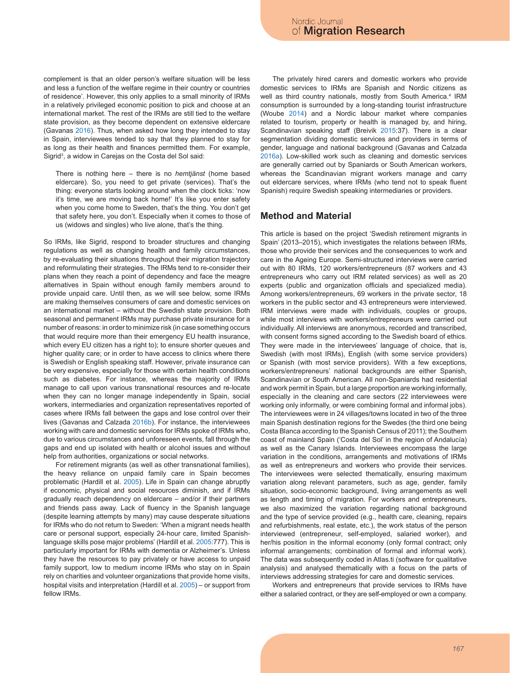complement is that an older person's welfare situation will be less and less a function of the welfare regime in their country or countries of residence'. However, this only applies to a small minority of IRMs in a relatively privileged economic position to pick and choose at an international market. The rest of the IRMs are still tied to the welfare state provision, as they become dependent on extensive eldercare (Gavanas 2016). Thus, when asked how long they intended to stay in Spain, interviewees tended to say that they planned to stay for as long as their health and finances permitted them. For example, Sigrid<sup>3</sup>, a widow in Carejas on the Costa del Sol said:

There is nothing here – there is no *hemtjänst* (home based eldercare). So, you need to get private (services). That's the thing: everyone starts looking around when the clock ticks: 'now it's time, we are moving back home!' It's like you enter safety when you come home to Sweden, that's the thing. You don't get that safety here, you don't. Especially when it comes to those of us (widows and singles) who live alone, that's the thing.

So IRMs, like Sigrid, respond to broader structures and changing regulations as well as changing health and family circumstances, by re-evaluating their situations throughout their migration trajectory and reformulating their strategies. The IRMs tend to re-consider their plans when they reach a point of dependency and face the meagre alternatives in Spain without enough family members around to provide unpaid care. Until then, as we will see below, some IRMs are making themselves consumers of care and domestic services on an international market – without the Swedish state provision. Both seasonal and permanent IRMs may purchase private insurance for a number of reasons: in order to minimize risk (in case something occurs that would require more than their emergency EU health insurance, which every EU citizen has a right to); to ensure shorter queues and higher quality care; or in order to have access to clinics where there is Swedish or English speaking staff. However, private insurance can be very expensive, especially for those with certain health conditions such as diabetes. For instance, whereas the majority of IRMs manage to call upon various transnational resources and re-locate when they can no longer manage independently in Spain, social workers, intermediaries and organization representatives reported of cases where IRMs fall between the gaps and lose control over their lives (Gavanas and Calzada 2016b). For instance, the interviewees working with care and domestic services for IRMs spoke of IRMs who, due to various circumstances and unforeseen events, fall through the gaps and end up isolated with health or alcohol issues and without help from authorities, organizations or social networks.

For retirement migrants (as well as other transnational families), the heavy reliance on unpaid family care in Spain becomes problematic (Hardill et al. 2005). Life in Spain can change abruptly if economic, physical and social resources diminish, and if IRMs gradually reach dependency on eldercare – and/or if their partners and friends pass away. Lack of fluency in the Spanish language (despite learning attempts by many) may cause desperate situations for IRMs who do not return to Sweden: 'When a migrant needs health care or personal support, especially 24-hour care, limited Spanishlanguage skills pose major problems' (Hardill et al. 2005:777). This is particularly important for IRMs with dementia or Alzheimer's. Unless they have the resources to pay privately or have access to unpaid family support, low to medium income IRMs who stay on in Spain rely on charities and volunteer organizations that provide home visits, hospital visits and interpretation (Hardill et al. 2005) – or support from fellow IRMs.

The privately hired carers and domestic workers who provide domestic services to IRMs are Spanish and Nordic citizens as well as third country nationals, mostly from South America.<sup>4</sup> IRM consumption is surrounded by a long-standing tourist infrastructure (Woube 2014) and a Nordic labour market where companies related to tourism, property or health is managed by, and hiring, Scandinavian speaking staff (Breivik 2015:37). There is a clear segmentation dividing domestic services and providers in terms of gender, language and national background (Gavanas and Calzada 2016a). Low-skilled work such as cleaning and domestic services are generally carried out by Spaniards or South American workers, whereas the Scandinavian migrant workers manage and carry out eldercare services, where IRMs (who tend not to speak fluent Spanish) require Swedish speaking intermediaries or providers.

## **Method and Material**

This article is based on the project 'Swedish retirement migrants in Spain' (2013–2015), which investigates the relations between IRMs, those who provide their services and the consequences to work and care in the Ageing Europe. Semi-structured interviews were carried out with 80 IRMs, 120 workers/entrepreneurs (87 workers and 43 entrepreneurs who carry out IRM related services) as well as 20 experts (public and organization officials and specialized media). Among workers/entrepreneurs, 69 workers in the private sector, 18 workers in the public sector and 43 entrepreneurs were interviewed. IRM interviews were made with individuals, couples or groups, while most interviews with workers/entrepreneurs were carried out individually. All interviews are anonymous, recorded and transcribed, with consent forms signed according to the Swedish board of ethics. They were made in the interviewees' language of choice, that is, Swedish (with most IRMs), English (with some service providers) or Spanish (with most service providers). With a few exceptions, workers/entrepreneurs' national backgrounds are either Spanish, Scandinavian or South American. All non-Spaniards had residential and work permit in Spain, but a large proportion are working informally, especially in the cleaning and care sectors (22 interviewees were working only informally, or were combining formal and informal jobs). The interviewees were in 24 villages/towns located in two of the three main Spanish destination regions for the Swedes (the third one being Costa Blanca according to the Spanish Census of 2011); the Southern coast of mainland Spain ('Costa del Sol' in the region of Andalucía) as well as the Canary Islands. Interviewees encompass the large variation in the conditions, arrangements and motivations of IRMs as well as entrepreneurs and workers who provide their services. The interviewees were selected thematically, ensuring maximum variation along relevant parameters, such as age, gender, family situation, socio-economic background, living arrangements as well as length and timing of migration. For workers and entrepreneurs, we also maximized the variation regarding national background and the type of service provided (e.g., health care, cleaning, repairs and refurbishments, real estate, etc.), the work status of the person interviewed (entrepreneur, self-employed, salaried worker), and her/his position in the informal economy (only formal contract; only informal arrangements; combination of formal and informal work). The data was subsequently coded in Atlas.ti (software for qualitative analysis) and analysed thematically with a focus on the parts of interviews addressing strategies for care and domestic services.

Workers and entrepreneurs that provide services to IRMs have either a salaried contract, or they are self-employed or own a company.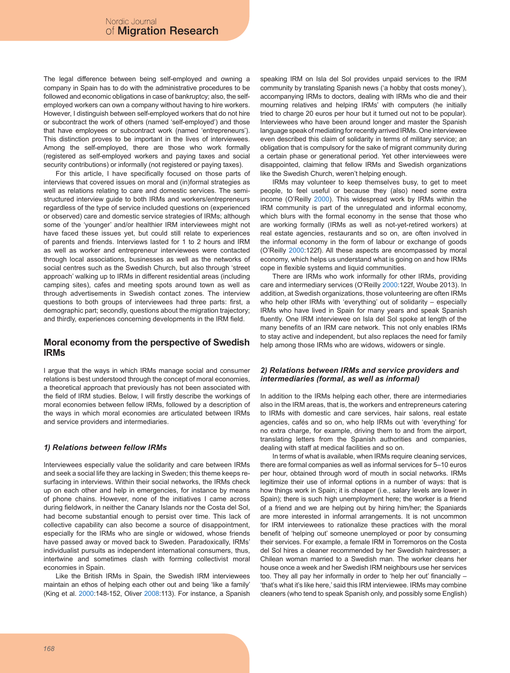The legal difference between being self-employed and owning a company in Spain has to do with the administrative procedures to be followed and economic obligations in case of bankruptcy; also, the selfemployed workers can own a company without having to hire workers. However, I distinguish between self-employed workers that do not hire or subcontract the work of others (named 'self-employed') and those that have employees or subcontract work (named 'entrepreneurs'). This distinction proves to be important in the lives of interviewees. Among the self-employed, there are those who work formally (registered as self-employed workers and paying taxes and social security contributions) or informally (not registered or paying taxes).

For this article, I have specifically focused on those parts of interviews that covered issues on moral and (in)formal strategies as well as relations relating to care and domestic services. The semistructured interview guide to both IRMs and workers/entrepreneurs regardless of the type of service included questions on (experienced or observed) care and domestic service strategies of IRMs; although some of the 'younger' and/or healthier IRM interviewees might not have faced these issues yet, but could still relate to experiences of parents and friends. Interviews lasted for 1 to 2 hours and IRM as well as worker and entrepreneur interviewees were contacted through local associations, businesses as well as the networks of social centres such as the Swedish Church, but also through 'street approach' walking up to IRMs in different residential areas (including camping sites), cafes and meeting spots around town as well as through advertisements in Swedish contact zones. The interview questions to both groups of interviewees had three parts: first, a demographic part; secondly, questions about the migration trajectory; and thirdly, experiences concerning developments in the IRM field.

# **Moral economy from the perspective of Swedish IRMs**

I argue that the ways in which IRMs manage social and consumer relations is best understood through the concept of moral economies, a theoretical approach that previously has not been associated with the field of IRM studies. Below, I will firstly describe the workings of moral economies between fellow IRMs, followed by a description of the ways in which moral economies are articulated between IRMs and service providers and intermediaries.

### *1) Relations between fellow IRMs*

Interviewees especially value the solidarity and care between IRMs and seek a social life they are lacking in Sweden; this theme keeps resurfacing in interviews. Within their social networks, the IRMs check up on each other and help in emergencies, for instance by means of phone chains. However, none of the initiatives I came across during fieldwork, in neither the Canary Islands nor the Costa del Sol, had become substantial enough to persist over time. This lack of collective capability can also become a source of disappointment, especially for the IRMs who are single or widowed, whose friends have passed away or moved back to Sweden. Paradoxically, IRMs' individualist pursuits as independent international consumers, thus, intertwine and sometimes clash with forming collectivist moral economies in Spain.

Like the British IRMs in Spain, the Swedish IRM interviewees maintain an ethos of helping each other out and being 'like a family' (King et al. 2000:148-152, Oliver 2008:113). For instance, a Spanish speaking IRM on Isla del Sol provides unpaid services to the IRM community by translating Spanish news ('a hobby that costs money'), accompanying IRMs to doctors, dealing with IRMs who die and their mourning relatives and helping IRMs' with computers (he initially tried to charge 20 euros per hour but it turned out not to be popular). Interviewees who have been around longer and master the Spanish language speak of mediating for recently arrived IRMs. One interviewee even described this claim of solidarity in terms of military service; an obligation that is compulsory for the sake of migrant community during a certain phase or generational period. Yet other interviewees were disappointed, claiming that fellow IRMs and Swedish organizations like the Swedish Church, weren't helping enough.

IRMs may volunteer to keep themselves busy, to get to meet people, to feel useful or because they (also) need some extra income (O'Reilly 2000). This widespread work by IRMs within the IRM community is part of the unregulated and informal economy, which blurs with the formal economy in the sense that those who are working formally (IRMs as well as not-yet-retired workers) at real estate agencies, restaurants and so on, are often involved in the informal economy in the form of labour or exchange of goods (O'Reilly 2000:122f). All these aspects are encompassed by moral economy, which helps us understand what is going on and how IRMs cope in flexible systems and liquid communities.

There are IRMs who work informally for other IRMs, providing care and intermediary services (O'Reilly 2000:122f, Woube 2013). In addition, at Swedish organizations, those volunteering are often IRMs who help other IRMs with 'everything' out of solidarity – especially IRMs who have lived in Spain for many years and speak Spanish fluently. One IRM interviewee on Isla del Sol spoke at length of the many benefits of an IRM care network. This not only enables IRMs to stay active and independent, but also replaces the need for family help among those IRMs who are widows, widowers or single.

### *2) Relations between IRMs and service providers and intermediaries (formal, as well as informal)*

In addition to the IRMs helping each other, there are intermediaries also in the IRM areas, that is, the workers and entrepreneurs catering to IRMs with domestic and care services, hair salons, real estate agencies, cafés and so on, who help IRMs out with 'everything' for no extra charge, for example, driving them to and from the airport, translating letters from the Spanish authorities and companies, dealing with staff at medical facilities and so on.

In terms of what is available, when IRMs require cleaning services, there are formal companies as well as informal services for 5–10 euros per hour, obtained through word of mouth in social networks. IRMs legitimize their use of informal options in a number of ways: that is how things work in Spain; it is cheaper (i.e., salary levels are lower in Spain); there is such high unemployment here; the worker is a friend of a friend and we are helping out by hiring him/her; the Spaniards are more interested in informal arrangements. It is not uncommon for IRM interviewees to rationalize these practices with the moral benefit of 'helping out' someone unemployed or poor by consuming their services. For example, a female IRM in Torremoros on the Costa del Sol hires a cleaner recommended by her Swedish hairdresser; a Chilean woman married to a Swedish man. The worker cleans her house once a week and her Swedish IRM neighbours use her services too. They all pay her informally in order to 'help her out' financially – 'that's what it's like here,' said this IRM interviewee. IRMs may combine cleaners (who tend to speak Spanish only, and possibly some English)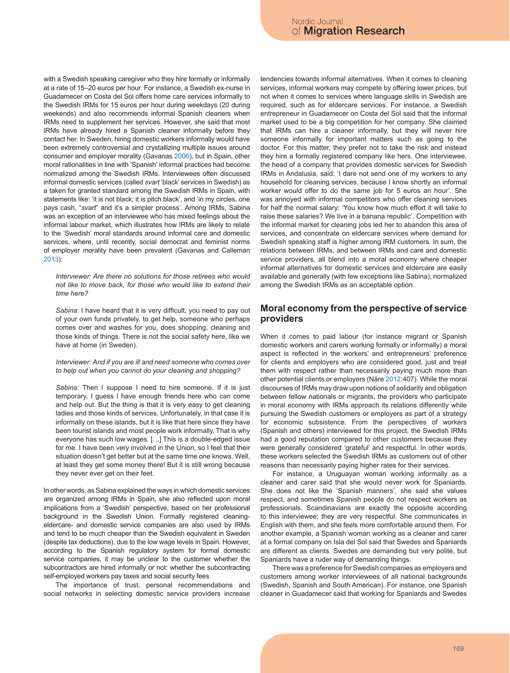with a Swedish speaking caregiver who they hire formally or informally at a rate of 15–20 euros per hour. For instance, a Swedish ex-nurse in Guadamecer on Costa del Sol offers home care services informally to the Swedish IRMs for 15 euros per hour during weekdays (20 during weekends) and also recommends informal Spanish cleaners when IRMs need to supplement her services. However, she said that most IRMs have already hired a Spanish cleaner informally before they contact her. In Sweden, hiring domestic workers informally would have been extremely controversial and crystallizing multiple issues around consumer and employer morality (Gavanas 2006), but in Spain, other moral rationalities in line with 'Spanish' informal practices had become normalized among the Swedish IRMs. Interviewees often discussed informal domestic services (called *svart* 'black' services in Swedish) as a taken for granted standard among the Swedish IRMs in Spain, with statements like: 'it is not black; it is pitch black', and 'in my circles, one pays cash, "*svart*" and it's a simpler process'. Among IRMs, Sabina was an exception of an interviewee who has mixed feelings about the informal labour market, which illustrates how IRMs are likely to relate to the 'Swedish' moral standards around informal care and domestic services, where, until recently, social democrat and feminist norms of employer morality have been prevalent (Gavanas and Calleman 2013):

*Interviewer: Are there no solutions for those retirees who would not like to move back, for those who would like to extend their time here?*

*Sabina*: I have heard that it is very difficult, you need to pay out of your own funds privately, to get help, someone who perhaps comes over and washes for you, does shopping, cleaning and those kinds of things. There is not the social safety here, like we have at home (in Sweden).

*Interviewer: And if you are ill and need someone who comes over to help out when you cannot do your cleaning and shopping?*

*Sabina:* Then I suppose I need to hire someone. If it is just temporary, I guess I have enough friends here who can come and help out. But the thing is that it is very easy to get cleaning ladies and those kinds of services. Unfortunately, in that case it is informally on these islands, but it is like that here since they have been tourist islands and most people work informally. That is why everyone has such low wages. […] This is a double-edged issue for me. I have been very involved in the Union, so I feel that their situation doesn't get better but at the same time one knows. Well, at least they get some money there! But it is still wrong because they never ever get on their feet.

In other words, as Sabina explained the ways in which domestic services are organized among IRMs in Spain, she also reflected upon moral implications from a 'Swedish' perspective, based on her professional background in the Swedish Union. Formally registered cleaningeldercare- and domestic service companies are also used by IRMs and tend to be much cheaper than the Swedish equivalent in Sweden (despite tax deductions), due to the low wage levels in Spain. However, according to the Spanish regulatory system for formal domestic service companies, it may be unclear to the customer whether the subcontractors are hired informally or not: whether the subcontracting self-employed workers pay taxes and social security fees.

The importance of trust, personal recommendations and social networks in selecting domestic service providers increase tendencies towards informal alternatives. When it comes to cleaning services, informal workers may compete by offering lower prices, but not when it comes to services where language skills in Swedish are required, such as for eldercare services. For instance, a Swedish entrepreneur in Guadamecer on Costa del Sol said that the informal market used to be a big competition for her company. She claimed that IRMs can hire a cleaner informally, but they will never hire someone informally for important matters such as going to the doctor. For this matter, they prefer not to take the risk and instead they hire a formally registered company like hers. One interviewee, the head of a company that provides domestic services for Swedish IRMs in Andalusia, said: 'I dare not send one of my workers to any household for cleaning services, because I know shortly an informal worker would offer to do the same job for 5 euros an hour'. She was annoyed with informal competitors who offer cleaning services for half the normal salary: 'You know how much effort it will take to raise these salaries? We live in a banana republic'. Competition with the informal market for cleaning jobs led her to abandon this area of services, and concentrate on eldercare services where demand for Swedish speaking staff is higher among IRM customers. In sum, the relations between IRMs, and between IRMs and care and domestic service providers, all blend into a moral economy where cheaper informal alternatives for domestic services and eldercare are easily available and generally (with few exceptions like Sabina), normalized among the Swedish IRMs as an acceptable option.

## **Moral economy from the perspective of service providers**

When it comes to paid labour (for instance migrant or Spanish domestic workers and carers working formally or informally) a moral aspect is reflected in the workers' and entrepreneurs' preference for clients and employers who are considered good, just and treat them with respect rather than necessarily paying much more than other potential clients or employers (Näre 2012:407). While the moral discourses of IRMs may draw upon notions of solidarity and obligation between fellow nationals or migrants, the providers who participate in moral economy with IRMs approach its relations differently while pursuing the Swedish customers or employers as part of a strategy for economic subsistence. From the perspectives of workers (Spanish and others) interviewed for this project, the Swedish IRMs had a good reputation compared to other customers because they were generally considered 'grateful' and respectful. In other words, these workers selected the Swedish IRMs as customers out of other reasons than necessarily paying higher rates for their services.

For instance, a Uruguayan woman working informally as a cleaner and carer said that she would never work for Spaniards. She does not like the 'Spanish manners', she said she values respect, and sometimes Spanish people do not respect workers as professionals. Scandinavians are exactly the opposite according to this interviewee; they are very respectful. She communicates in English with them, and she feels more comfortable around them. For another example, a Spanish woman working as a cleaner and carer at a formal company on Isla del Sol said that Swedes and Spaniards are different as clients. Swedes are demanding but very polite, but Spaniards have a ruder way of demanding things.

There was a preference for Swedish companies as employers and customers among worker interviewees of all national backgrounds (Swedish, Spanish and South American). For instance, one Spanish cleaner in Guadamecer said that working for Spaniards and Swedes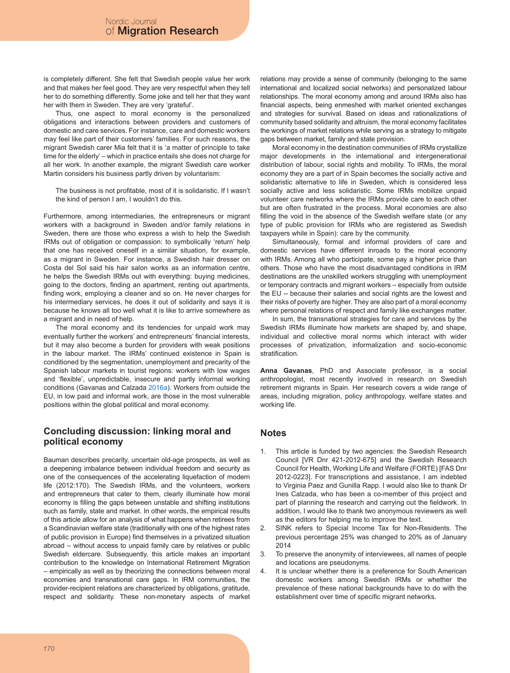is completely different. She felt that Swedish people value her work and that makes her feel good. They are very respectful when they tell her to do something differently. Some joke and tell her that they want her with them in Sweden. They are very 'grateful'.

Thus, one aspect to moral economy is the personalized obligations and interactions between providers and customers of domestic and care services. For instance, care and domestic workers may feel like part of their customers' families. For such reasons, the migrant Swedish carer Mia felt that it is 'a matter of principle to take time for the elderly' – which in practice entails she does not charge for all her work. In another example, the migrant Swedish care worker Martin considers his business partly driven by voluntarism:

The business is not profitable, most of it is solidaristic. If I wasn't the kind of person I am, I wouldn't do this.

Furthermore, among intermediaries, the entrepreneurs or migrant workers with a background in Sweden and/or family relations in Sweden, there are those who express a wish to help the Swedish IRMs out of obligation or compassion: to symbolically 'return' help that one has received oneself in a similar situation, for example, as a migrant in Sweden. For instance, a Swedish hair dresser on Costa del Sol said his hair salon works as an information centre, he helps the Swedish IRMs out with everything: buying medicines, going to the doctors, finding an apartment, renting out apartments, finding work, employing a cleaner and so on. He never charges for his intermediary services, he does it out of solidarity and says it is because he knows all too well what it is like to arrive somewhere as a migrant and in need of help.

The moral economy and its tendencies for unpaid work may eventually further the workers' and entrepreneurs' financial interests, but it may also become a burden for providers with weak positions in the labour market. The IRMs' continued existence in Spain is conditioned by the segmentation, unemployment and precarity of the Spanish labour markets in tourist regions: workers with low wages and 'flexible', unpredictable, insecure and partly informal working conditions (Gavanas and Calzada 2016a). Workers from outside the EU, in low paid and informal work, are those in the most vulnerable positions within the global political and moral economy.

# **Concluding discussion: linking moral and political economy**

Bauman describes precarity, uncertain old-age prospects, as well as a deepening imbalance between individual freedom and security as one of the consequences of the accelerating liquefaction of modern life (2012:170). The Swedish IRMs, and the volunteers, workers and entrepreneurs that cater to them, clearly illuminate how moral economy is filling the gaps between unstable and shifting institutions such as family, state and market. In other words, the empirical results of this article allow for an analysis of what happens when retirees from a Scandinavian welfare state (traditionally with one of the highest rates of public provision in Europe) find themselves in a privatized situation abroad – without access to unpaid family care by relatives or public Swedish eldercare. Subsequently, this article makes an important contribution to the knowledge on International Retirement Migration – empirically as well as by theorizing the connections between moral economies and transnational care gaps. In IRM communities, the provider-recipient relations are characterized by obligations, gratitude, respect and solidarity. These non-monetary aspects of market

relations may provide a sense of community (belonging to the same international and localized social networks) and personalized labour relationships. The moral economy among and around IRMs also has financial aspects, being enmeshed with market oriented exchanges and strategies for survival. Based on ideas and rationalizations of community based solidarity and altruism, the moral economy facilitates the workings of market relations while serving as a strategy to mitigate gaps between market, family and state provision.

Moral economy in the destination communities of IRMs crystallize major developments in the international and intergenerational distribution of labour, social rights and mobility. To IRMs, the moral economy they are a part of in Spain becomes the socially active and solidaristic alternative to life in Sweden, which is considered less socially active and less solidaristic. Some IRMs mobilize unpaid volunteer care networks where the IRMs provide care to each other but are often frustrated in the process. Moral economies are also filling the void in the absence of the Swedish welfare state (or any type of public provision for IRMs who are registered as Swedish taxpayers while in Spain): care by the community.

Simultaneously, formal and informal providers of care and domestic services have different inroads to the moral economy with IRMs. Among all who participate, some pay a higher price than others. Those who have the most disadvantaged conditions in IRM destinations are the unskilled workers struggling with unemployment or temporary contracts and migrant workers – especially from outside the EU -- because their salaries and social rights are the lowest and their risks of poverty are higher. They are also part of a moral economy where personal relations of respect and family like exchanges matter.

In sum, the transnational strategies for care and services by the Swedish IRMs illuminate how markets are shaped by, and shape, individual and collective moral norms which interact with wider processes of privatization, informalization and socio-economic stratification.

**Anna Gavanas**, PhD and Associate professor, is a social anthropologist, most recently involved in research on Swedish retirement migrants in Spain. Her research covers a wide range of areas, including migration, policy anthropology, welfare states and working life.

# **Notes**

- 1. This article is funded by two agencies: the Swedish Research Council [VR Dnr 421-2012-675] and the Swedish Research Council for Health, Working Life and Welfare (FORTE) [FAS Dnr 2012-0223]. For transcriptions and assistance, I am indebted to Virginia Paez and Gunilla Rapp. I would also like to thank Dr Ines Calzada, who has been a co-member of this project and part of planning the research and carrying out the fieldwork. In addition, I would like to thank two anonymous reviewers as well as the editors for helping me to improve the text.
- 2. SINK refers to Special Income Tax for Non-Residents. The previous percentage 25% was changed to 20% as of January 2014
- 3. To preserve the anonymity of interviewees, all names of people and locations are pseudonyms.
- 4. It is unclear whether there is a preference for South American domestic workers among Swedish IRMs or whether the prevalence of these national backgrounds have to do with the establishment over time of specific migrant networks.